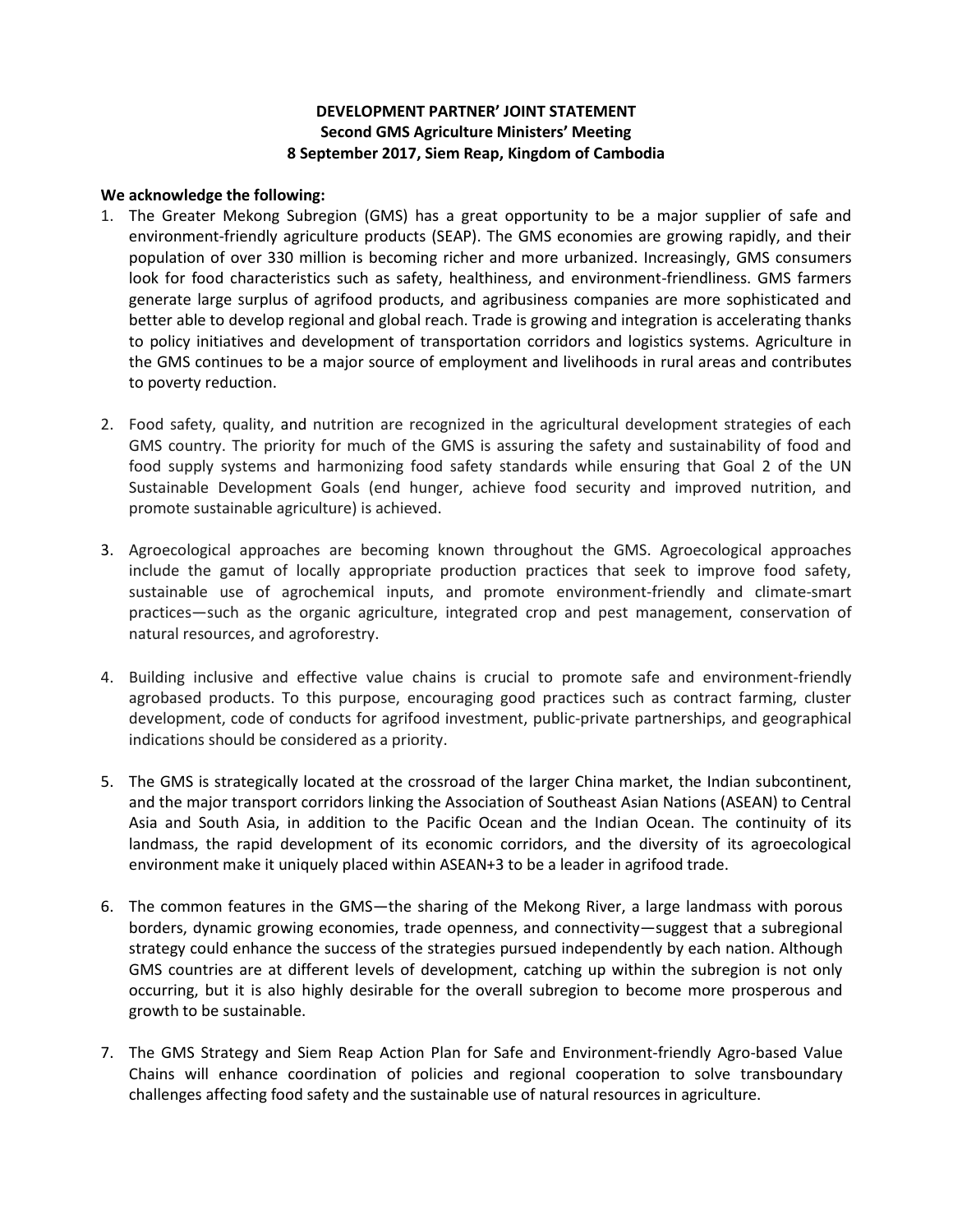## **DEVELOPMENT PARTNER' JOINT STATEMENT Second GMS Agriculture Ministers' Meeting 8 September 2017, Siem Reap, Kingdom of Cambodia**

## **We acknowledge the following:**

- 1. The Greater Mekong Subregion (GMS) has a great opportunity to be a major supplier of safe and environment-friendly agriculture products (SEAP). The GMS economies are growing rapidly, and their population of over 330 million is becoming richer and more urbanized. Increasingly, GMS consumers look for food characteristics such as safety, healthiness, and environment-friendliness. GMS farmers generate large surplus of agrifood products, and agribusiness companies are more sophisticated and better able to develop regional and global reach. Trade is growing and integration is accelerating thanks to policy initiatives and development of transportation corridors and logistics systems. Agriculture in the GMS continues to be a major source of employment and livelihoods in rural areas and contributes to poverty reduction.
- 2. Food safety, quality, and nutrition are recognized in the agricultural development strategies of each GMS country. The priority for much of the GMS is assuring the safety and sustainability of food and food supply systems and harmonizing food safety standards while ensuring that Goal 2 of the UN Sustainable Development Goals (end hunger, achieve food security and improved nutrition, and promote sustainable agriculture) is achieved.
- 3. Agroecological approaches are becoming known throughout the GMS. Agroecological approaches include the gamut of locally appropriate production practices that seek to improve food safety, sustainable use of agrochemical inputs, and promote environment-friendly and climate-smart practices—such as the organic agriculture, integrated crop and pest management, conservation of natural resources, and agroforestry.
- 4. Building inclusive and effective value chains is crucial to promote safe and environment-friendly agrobased products. To this purpose, encouraging good practices such as contract farming, cluster development, code of conducts for agrifood investment, public-private partnerships, and geographical indications should be considered as a priority.
- 5. The GMS is strategically located at the crossroad of the larger China market, the Indian subcontinent, and the major transport corridors linking the Association of Southeast Asian Nations (ASEAN) to Central Asia and South Asia, in addition to the Pacific Ocean and the Indian Ocean. The continuity of its landmass, the rapid development of its economic corridors, and the diversity of its agroecological environment make it uniquely placed within ASEAN+3 to be a leader in agrifood trade.
- 6. The common features in the GMS—the sharing of the Mekong River, a large landmass with porous borders, dynamic growing economies, trade openness, and connectivity—suggest that a subregional strategy could enhance the success of the strategies pursued independently by each nation. Although GMS countries are at different levels of development, catching up within the subregion is not only occurring, but it is also highly desirable for the overall subregion to become more prosperous and growth to be sustainable.
- 7. The GMS Strategy and Siem Reap Action Plan for Safe and Environment-friendly Agro-based Value Chains will enhance coordination of policies and regional cooperation to solve transboundary challenges affecting food safety and the sustainable use of natural resources in agriculture.